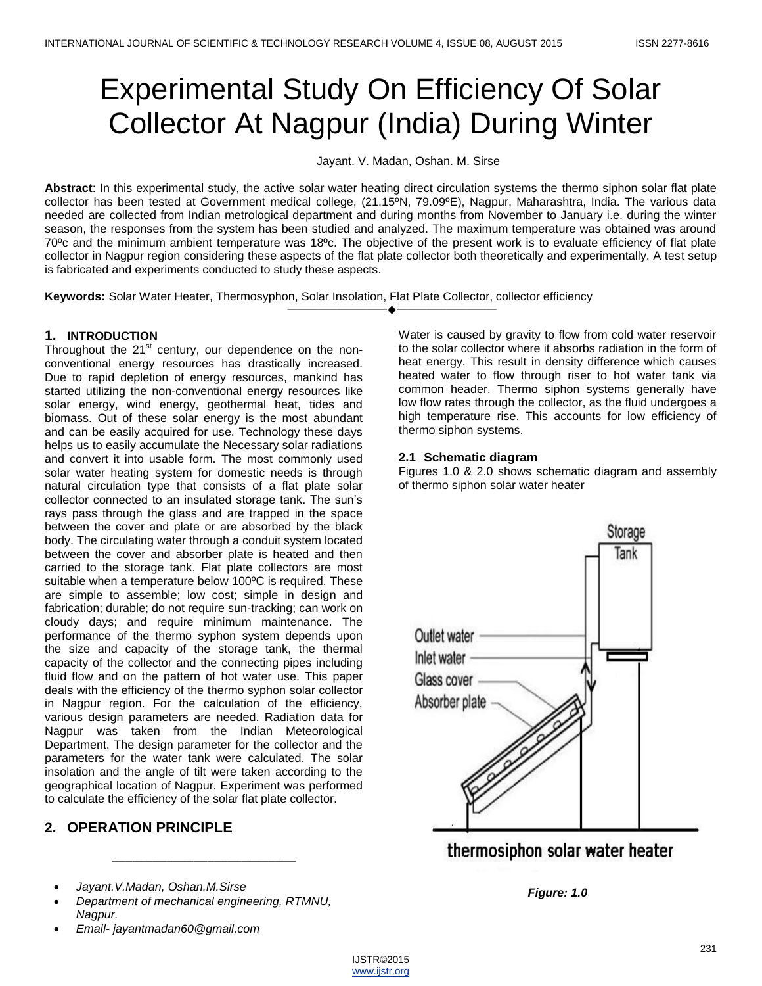# Experimental Study On Efficiency Of Solar Collector At Nagpur (India) During Winter

Jayant. V. Madan, Oshan. M. Sirse

**Abstract**: In this experimental study, the active solar water heating direct circulation systems the thermo siphon solar flat plate collector has been tested at Government medical college, (21.15ºN, 79.09ºE), Nagpur, Maharashtra, India. The various data needed are collected from Indian metrological department and during months from November to January i.e. during the winter season, the responses from the system has been studied and analyzed. The maximum temperature was obtained was around 70ºc and the minimum ambient temperature was 18ºc. The objective of the present work is to evaluate efficiency of flat plate collector in Nagpur region considering these aspects of the flat plate collector both theoretically and experimentally. A test setup is fabricated and experiments conducted to study these aspects.

————————————————————

**Keywords:** Solar Water Heater, Thermosyphon, Solar Insolation, Flat Plate Collector, collector efficiency

#### **1. INTRODUCTION**

Throughout the  $21<sup>st</sup>$  century, our dependence on the nonconventional energy resources has drastically increased. Due to rapid depletion of energy resources, mankind has started utilizing the non-conventional energy resources like solar energy, wind energy, geothermal heat, tides and biomass. Out of these solar energy is the most abundant and can be easily acquired for use. Technology these days helps us to easily accumulate the Necessary solar radiations and convert it into usable form. The most commonly used solar water heating system for domestic needs is through natural circulation type that consists of a flat plate solar collector connected to an insulated storage tank. The sun's rays pass through the glass and are trapped in the space between the cover and plate or are absorbed by the black body. The circulating water through a conduit system located between the cover and absorber plate is heated and then carried to the storage tank. Flat plate collectors are most suitable when a temperature below 100ºC is required. These are simple to assemble; low cost; simple in design and fabrication; durable; do not require sun-tracking; can work on cloudy days; and require minimum maintenance. The performance of the thermo syphon system depends upon the size and capacity of the storage tank, the thermal capacity of the collector and the connecting pipes including fluid flow and on the pattern of hot water use. This paper deals with the efficiency of the thermo syphon solar collector in Nagpur region. For the calculation of the efficiency, various design parameters are needed. Radiation data for Nagpur was taken from the Indian Meteorological Department. The design parameter for the collector and the parameters for the water tank were calculated. The solar insolation and the angle of tilt were taken according to the geographical location of Nagpur. Experiment was performed to calculate the efficiency of the solar flat plate collector.

## **2. OPERATION PRINCIPLE**

- *Jayant.V.Madan, Oshan.M.Sirse*
- *Department of mechanical engineering, RTMNU, Nagpur.*

\_\_\_\_\_\_\_\_\_\_\_\_\_\_\_\_\_\_\_\_\_\_\_\_\_\_\_

*Email- jayantmadan60@gmail.com*

Water is caused by gravity to flow from cold water reservoir to the solar collector where it absorbs radiation in the form of heat energy. This result in density difference which causes heated water to flow through riser to hot water tank via common header. Thermo siphon systems generally have low flow rates through the collector, as the fluid undergoes a high temperature rise. This accounts for low efficiency of thermo siphon systems.

#### **2.1 Schematic diagram**

Figures 1.0 & 2.0 shows schematic diagram and assembly of thermo siphon solar water heater



thermosiphon solar water heater

*Figure: 1.0*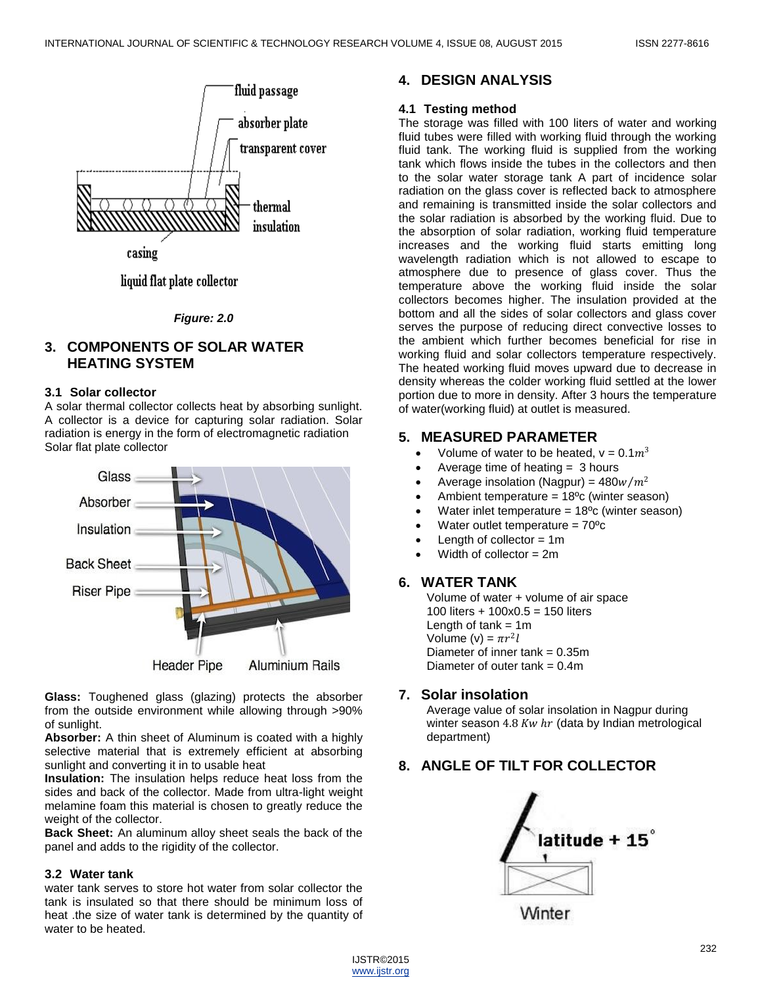

liquid flat plate collector

*Figure: 2.0*

## **3. COMPONENTS OF SOLAR WATER HEATING SYSTEM**

#### **3.1 Solar collector**

A solar thermal collector collects heat by absorbing sunlight. A collector is a device for capturing solar radiation. Solar radiation is energy in the form of electromagnetic radiation Solar flat plate collector



**Glass:** Toughened glass (glazing) protects the absorber from the outside environment while allowing through >90% of sunlight.

**Absorber:** A thin sheet of Aluminum is coated with a highly selective material that is extremely efficient at absorbing sunlight and converting it in to usable heat

**Insulation:** The insulation helps reduce heat loss from the sides and back of the collector. Made from ultra-light weight melamine foam this material is chosen to greatly reduce the weight of the collector.

**Back Sheet:** An aluminum alloy sheet seals the back of the panel and adds to the rigidity of the collector.

#### **3.2 Water tank**

water tank serves to store hot water from solar collector the tank is insulated so that there should be minimum loss of heat .the size of water tank is determined by the quantity of water to be heated.

## **4. DESIGN ANALYSIS**

### **4.1 Testing method**

The storage was filled with 100 liters of water and working fluid tubes were filled with working fluid through the working fluid tank. The working fluid is supplied from the working tank which flows inside the tubes in the collectors and then to the solar water storage tank A part of incidence solar radiation on the glass cover is reflected back to atmosphere and remaining is transmitted inside the solar collectors and the solar radiation is absorbed by the working fluid. Due to the absorption of solar radiation, working fluid temperature increases and the working fluid starts emitting long wavelength radiation which is not allowed to escape to atmosphere due to presence of glass cover. Thus the temperature above the working fluid inside the solar collectors becomes higher. The insulation provided at the bottom and all the sides of solar collectors and glass cover serves the purpose of reducing direct convective losses to the ambient which further becomes beneficial for rise in working fluid and solar collectors temperature respectively. The heated working fluid moves upward due to decrease in density whereas the colder working fluid settled at the lower portion due to more in density. After 3 hours the temperature of water(working fluid) at outlet is measured.

## **5. MEASURED PARAMETER**

- Volume of water to be heated,  $v = 0.1m^3$
- Average time of heating = 3 hours
- Average insolation (Nagpur) =  $480 w/m^2$
- Ambient temperature =  $18^{\circ}$ c (winter season)
- Water inlet temperature =  $18^{\circ}$ c (winter season)
- Water outlet temperature  $= 70^{\circ}c$
- $\bullet$  Length of collector = 1m
- Width of collector = 2m

# **6. WATER TANK**

Volume of water + volume of air space 100 liters + 100x0.5 = 150 liters Length of tank  $= 1m$ Volume (v) =  $\pi r^2 l$ Diameter of inner tank  $= 0.35$ m Diameter of outer tank  $= 0.4$ m

## **7. Solar insolation**

Average value of solar insolation in Nagpur during winter season  $4.8$  Kw  $hr$  (data by Indian metrological department)

# **8. ANGLE OF TILT FOR COLLECTOR**



Winter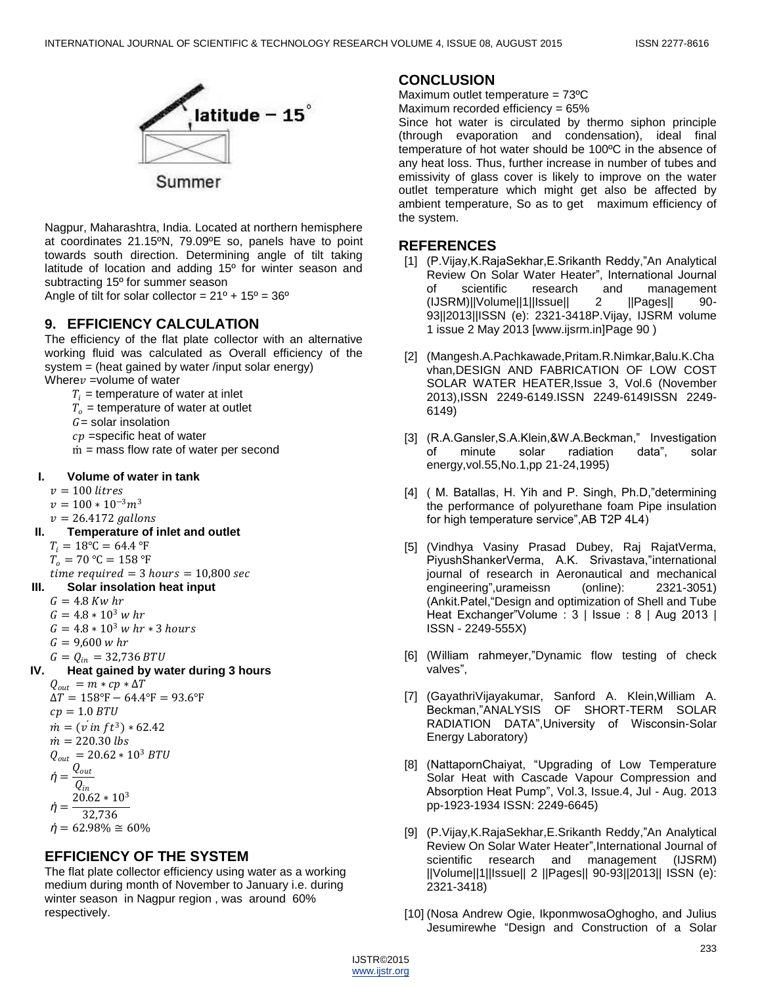

Nagpur, Maharashtra, India. Located at northern hemisphere at coordinates 21.15ºN, 79.09ºE so, panels have to point towards south direction. Determining angle of tilt taking latitude of location and adding 15º for winter season and subtracting 15º for summer season

Angle of tilt for solar collector =  $21^{\circ}$  +  $15^{\circ}$  =  $36^{\circ}$ 

### **9. EFFICIENCY CALCULATION**

The efficiency of the flat plate collector with an alternative working fluid was calculated as Overall efficiency of the system = (heat gained by water /input solar energy) Where  $v =$ volume of water

 $T_i$  = temperature of water at inlet

- $T<sub>o</sub>$  = temperature of water at outlet
- $G =$  solar insolation
- $cp$  =specific heat of water
- m *=* mass flow rate of water per second

#### **I. Volume of water in tank**

- $v = 100$  litres
- $v = 100 * 10^{-3}m^3$
- $v = 26.4172$  gallons
- **II. Temperature of inlet and outlet**
	- $T_i = 18$ °C = 64.4 °F
	- $T_0 = 70$  °C = 158 °F
- $time required = 3 hours = 10,800 sec$
- **III. Solar insolation heat input**
	- $G = 4.8$  Kw hr
	- $G = 4.8 * 10^3$  w hr
	- $G = 4.8 * 10^3$  *w hr*  $*$  3 *hours*
	- $G = 9,600$  w hr
	- $G = Q_{in} = 32,736 B T U$
- **IV. Heat gained by water during 3 hours**

 $Q_{out} = m * cp * \Delta T$  $\Delta T = 158$ °F – 64.4°F = 93.6°F  $cp = 1.0 BTU$  $\dot{m} = (v \, \dot{m} \, ft^3) * 62.42$  $\dot{m} = 220.30$  lbs  $Q_{out} = 20.62 * 10^3 BTU$ *ή* =  $Q_{out}$  $\mathcal{Q}_{in}$ *ή* =  $20.62 * 10<sup>3</sup>$ 32,736  $$ 

# **EFFICIENCY OF THE SYSTEM**

The flat plate collector efficiency using water as a working medium during month of November to January i.e. during winter season in Nagpur region , was around 60% respectively.

#### **CONCLUSION**

Maximum outlet temperature = 73ºC

Maximum recorded efficiency = 65%

Since hot water is circulated by thermo siphon principle (through evaporation and condensation), ideal final temperature of hot water should be 100ºC in the absence of any heat loss. Thus, further increase in number of tubes and emissivity of glass cover is likely to improve on the water outlet temperature which might get also be affected by ambient temperature, So as to get maximum efficiency of the system.

#### **REFERENCES**

- [1] (P. Vijay, K. Raja Sekhar, E. Srikanth Reddy, "An Analytical Review On Solar Water Heater", International Journal of scientific research and management<br>(IJSRM)||Volume||1||Issue|| 2 ||Pages|| 90-(IJSRM)||Volume||1||Issue|| 2 ||Pages|| 90- 93||2013||ISSN (e): 2321-3418P.Vijay, IJSRM volume 1 issue 2 May 2013 [www.ijsrm.in]Page 90 )
- [2] (Mangesh.A.Pachkawade,Pritam.R.Nimkar,Balu.K.Cha vhan,DESIGN AND FABRICATION OF LOW COST SOLAR WATER HEATER,Issue 3, Vol.6 (November 2013),ISSN 2249-6149.ISSN 2249-6149ISSN 2249- 6149)
- [3] (R.A.Gansler,S.A.Klein,&W.A.Beckman," Investigation of minute solar radiation data", solar energy,vol.55,No.1,pp 21-24,1995)
- [4] ( M. Batallas, H. Yih and P. Singh, Ph.D,"determining the performance of polyurethane foam Pipe insulation for high temperature service", AB T2P 4L4)
- [5] (Vindhya Vasiny Prasad Dubey, Raj RajatVerma, PiyushShankerVerma, A.K. Srivastava,"international journal of research in Aeronautical and mechanical engineering", urameissn (online): 2321-3051) (Ankit.Patel, "Design and optimization of Shell and Tube Heat Exchanger"Volume : 3 | Issue : 8 | Aug 2013 | ISSN - 2249-555X)
- [6] (William rahmeyer,"Dynamic flow testing of check valves",
- [7] (GayathriVijayakumar, Sanford A. Klein,William A. Beckman,"ANALYSIS OF SHORT-TERM SOLAR RADIATION DATA", University of Wisconsin-Solar Energy Laboratory)
- [8] (NattapornChaiyat, "Upgrading of Low Temperature Solar Heat with Cascade Vapour Compression and Absorption Heat Pump", Vol.3, Issue.4, Jul - Aug. 2013 pp-1923-1934 ISSN: 2249-6645)
- [9] (P. Vijay, K. Raja Sekhar, E. Srikanth Reddy, "An Analytical Review On Solar Water Heater", International Journal of scientific research and management (IJSRM) ||Volume||1||Issue|| 2 ||Pages|| 90-93||2013|| ISSN (e): 2321-3418)
- [10] (Nosa Andrew Ogie, IkponmwosaOghogho, and Julius Jesumirewhe "Design and Construction of a Solar